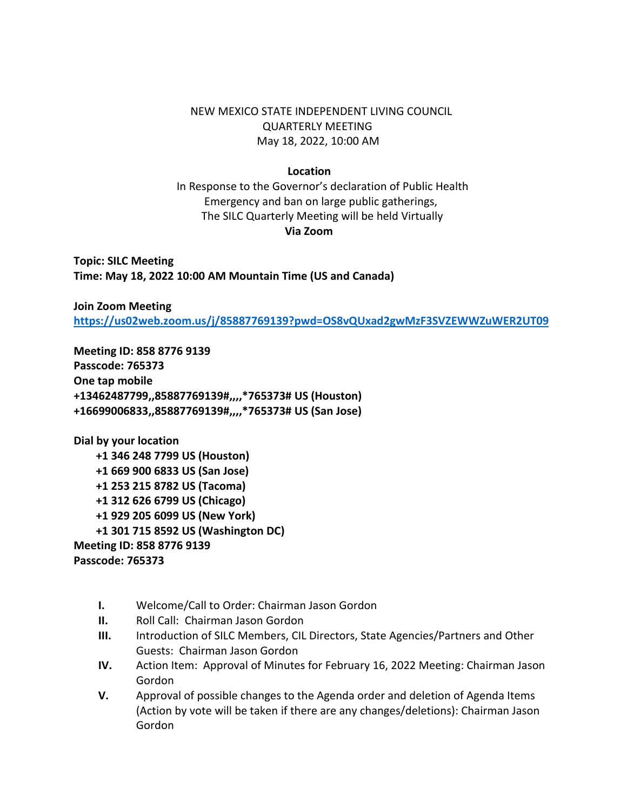NEW MEXICO STATE INDEPENDENT LIVING COUNCIL QUARTERLY MEETING May 18, 2022, 10:00 AM

## **Location**

 In Response to the Governor's declaration of Public Health Emergency and ban on large public gatherings, The SILC Quarterly Meeting will be held Virtually **Via Zoom**

**Topic: SILC Meeting Time: May 18, 2022 10:00 AM Mountain Time (US and Canada)**

**Join Zoom Meeting <https://us02web.zoom.us/j/85887769139?pwd=OS8vQUxad2gwMzF3SVZEWWZuWER2UT09>**

**Meeting ID: 858 8776 9139 Passcode: 765373 One tap mobile +13462487799,,85887769139#,,,,\*765373# US (Houston) +16699006833,,85887769139#,,,,\*765373# US (San Jose)**

**Dial by your location +1 346 248 7799 US (Houston) +1 669 900 6833 US (San Jose) +1 253 215 8782 US (Tacoma) +1 312 626 6799 US (Chicago) +1 929 205 6099 US (New York) +1 301 715 8592 US (Washington DC) Meeting ID: 858 8776 9139 Passcode: 765373**

- **I.** Welcome/Call to Order: Chairman Jason Gordon
- **II.** Roll Call: Chairman Jason Gordon
- **III.** Introduction of SILC Members, CIL Directors, State Agencies/Partners and Other Guests: Chairman Jason Gordon
- **IV.** Action Item: Approval of Minutes for February 16, 2022 Meeting: Chairman Jason Gordon
- **V.** Approval of possible changes to the Agenda order and deletion of Agenda Items (Action by vote will be taken if there are any changes/deletions): Chairman Jason Gordon